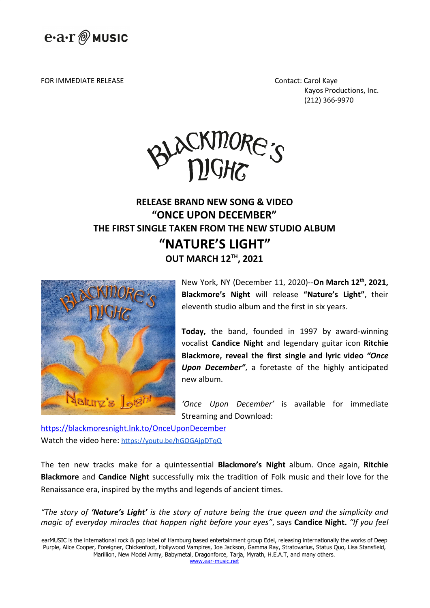

FOR IMMEDIATE RELEASE Contact: Carol Kaye

Kayos Productions, Inc. (212) 366-9970



## **RELEASE BRAND NEW SONG & VIDEO "ONCE UPON DECEMBER" THE FIRST SINGLE TAKEN FROM THE NEW STUDIO ALBUM "NATURE'S LIGHT" OUT MARCH 12 TH , 2021**



New York, NY (December 11, 2020)--**On March 12th , 2021, Blackmore's Night** will release **"Nature's Light"**, their eleventh studio album and the first in six years.

**Today,** the band, founded in 1997 by award-winning vocalist **Candice Night** and legendary guitar icon **Ritchie Blackmore, reveal the first single and lyric video** *"Once Upon December"*, a foretaste of the highly anticipated new album.

*'Once Upon December'* is available for immediate Streaming and Download:

<https://blackmoresnight.lnk.to/OnceUponDecember> Watch the video here: https://youtu.be/hGOGAipDTqQ

The ten new tracks make for a quintessential **Blackmore's Night** album. Once again, **Ritchie Blackmore** and **Candice Night** successfully mix the tradition of Folk music and their love for the Renaissance era, inspired by the myths and legends of ancient times.

*"The story of 'Nature's Light' is the story of nature being the true queen and the simplicity and magic of everyday miracles that happen right before your eyes"*, says **Candice Night.** *"If you feel*

earMUSIC is the international rock & pop label of Hamburg based entertainment group Edel, releasing internationally the works of Deep Purple, Alice Cooper, Foreigner, Chickenfoot, Hollywood Vampires, Joe Jackson, Gamma Ray, Stratovarius, Status Quo, Lisa Stansfield, Marillion, New Model Army, Babymetal, Dragonforce, Tarja, Myrath, H.E.A.T, and many others. [www.ear-music.net](http://www.ear-music.net/)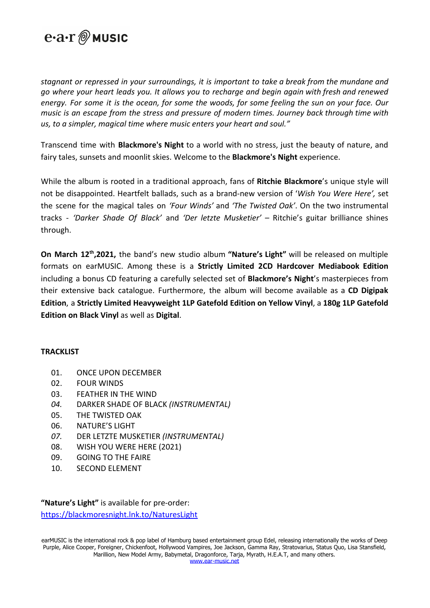

*stagnant or repressed in your surroundings, it is important to take a break from the mundane and go where your heart leads you. It allows you to recharge and begin again with fresh and renewed* energy. For some it is the ocean, for some the woods, for some feeling the sun on your face. Our *music is an escape from the stress and pressure of modern times. Journey back through time with us, to a simpler, magical time where music enters your heart and soul."*

Transcend time with **Blackmore's Night** to a world with no stress, just the beauty of nature, and fairy tales, sunsets and moonlit skies. Welcome to the **Blackmore's Night** experience.

While the album is rooted in a traditional approach, fans of **Ritchie Blackmore**'s unique style will not be disappointed. Heartfelt ballads, such as a brand-new version of '*Wish You Were Here',* set the scene for the magical tales on *'Four Winds'* and *'The Twisted Oak'*. On the two instrumental tracks - *'Darker Shade Of Black'* and *'Der letzte Musketier'* – Ritchie's guitar brilliance shines through.

**On March 12th ,2021,** the band's new studio album **"Nature's Light"** will be released on multiple formats on earMUSIC. Among these is a **Strictly Limited 2CD Hardcover Mediabook Edition** including a bonus CD featuring a carefully selected set of **Blackmore's Night**'s masterpieces from their extensive back catalogue. Furthermore, the album will become available as a **CD Digipak Edition**, a **Strictly Limited Heavyweight 1LP Gatefold Edition on Yellow Vinyl**, a **180g 1LP Gatefold Edition on Black Vinyl** as well as **Digital**.

## **TRACKLIST**

- 01. ONCE UPON DECEMBER
- 02. FOUR WINDS
- 03. FEATHER IN THE WIND
- *04.* DARKER SHADE OF BLACK *(INSTRUMENTAL)*
- 05. THE TWISTED OAK
- 06. NATURE'S LIGHT
- *07.* DER LETZTE MUSKETIER *(INSTRUMENTAL)*
- 08. WISH YOU WERE HERE (2021)
- 09. GOING TO THE FAIRE
- 10. SECOND ELEMENT

**"Nature's Light"** is available for pre-order: <https://blackmoresnight.lnk.to/NaturesLight>

earMUSIC is the international rock & pop label of Hamburg based entertainment group Edel, releasing internationally the works of Deep Purple, Alice Cooper, Foreigner, Chickenfoot, Hollywood Vampires, Joe Jackson, Gamma Ray, Stratovarius, Status Quo, Lisa Stansfield, Marillion, New Model Army, Babymetal, Dragonforce, Tarja, Myrath, H.E.A.T, and many others. [www.ear-music.net](http://www.ear-music.net/)